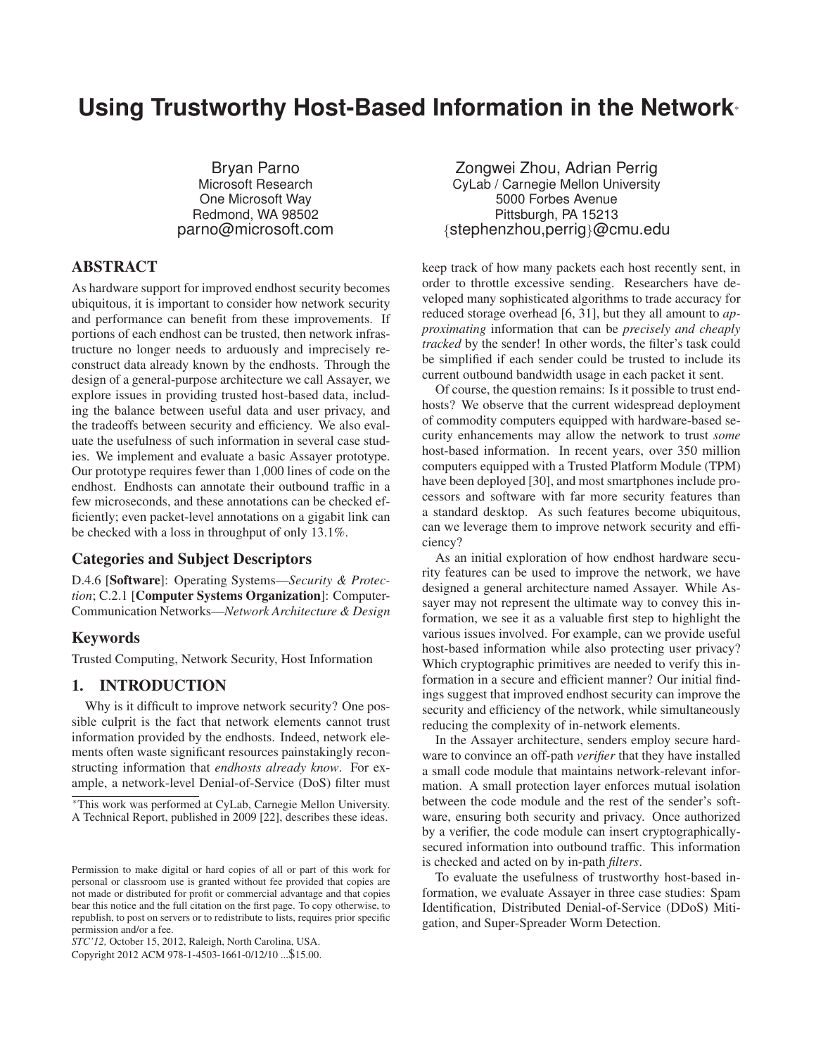# **Using Trustworthy Host-Based Information in the Network**<sup>∗</sup>

Bryan Parno Microsoft Research One Microsoft Way Redmond, WA 98502 parno@microsoft.com

# **ABSTRACT**

As hardware support for improved endhost security becomes ubiquitous, it is important to consider how network security and performance can benefit from these improvements. If portions of each endhost can be trusted, then network infrastructure no longer needs to arduously and imprecisely reconstruct data already known by the endhosts. Through the design of a general-purpose architecture we call Assayer, we explore issues in providing trusted host-based data, including the balance between useful data and user privacy, and the tradeoffs between security and efficiency. We also evaluate the usefulness of such information in several case studies. We implement and evaluate a basic Assayer prototype. Our prototype requires fewer than 1,000 lines of code on the endhost. Endhosts can annotate their outbound traffic in a few microseconds, and these annotations can be checked efficiently; even packet-level annotations on a gigabit link can be checked with a loss in throughput of only 13.1%.

# **Categories and Subject Descriptors**

D.4.6 [**Software**]: Operating Systems—*Security & Protection*; C.2.1 [**Computer Systems Organization**]: Computer-Communication Networks—*Network Architecture & Design*

### **Keywords**

Trusted Computing, Network Security, Host Information

# **1. INTRODUCTION**

Why is it difficult to improve network security? One possible culprit is the fact that network elements cannot trust information provided by the endhosts. Indeed, network elements often waste significant resources painstakingly reconstructing information that *endhosts already know*. For example, a network-level Denial-of-Service (DoS) filter must

Copyright 2012 ACM 978-1-4503-1661-0/12/10 ...\$15.00.

Zongwei Zhou, Adrian Perrig CyLab / Carnegie Mellon University 5000 Forbes Avenue Pittsburgh, PA 15213 {stephenzhou,perrig}@cmu.edu

keep track of how many packets each host recently sent, in order to throttle excessive sending. Researchers have developed many sophisticated algorithms to trade accuracy for reduced storage overhead [6, 31], but they all amount to *approximating* information that can be *precisely and cheaply tracked* by the sender! In other words, the filter's task could be simplified if each sender could be trusted to include its current outbound bandwidth usage in each packet it sent.

Of course, the question remains: Is it possible to trust endhosts? We observe that the current widespread deployment of commodity computers equipped with hardware-based security enhancements may allow the network to trust *some* host-based information. In recent years, over 350 million computers equipped with a Trusted Platform Module (TPM) have been deployed [30], and most smartphones include processors and software with far more security features than a standard desktop. As such features become ubiquitous, can we leverage them to improve network security and efficiency?

As an initial exploration of how endhost hardware security features can be used to improve the network, we have designed a general architecture named Assayer. While Assayer may not represent the ultimate way to convey this information, we see it as a valuable first step to highlight the various issues involved. For example, can we provide useful host-based information while also protecting user privacy? Which cryptographic primitives are needed to verify this information in a secure and efficient manner? Our initial findings suggest that improved endhost security can improve the security and efficiency of the network, while simultaneously reducing the complexity of in-network elements.

In the Assayer architecture, senders employ secure hardware to convince an off-path *verifier* that they have installed a small code module that maintains network-relevant information. A small protection layer enforces mutual isolation between the code module and the rest of the sender's software, ensuring both security and privacy. Once authorized by a verifier, the code module can insert cryptographicallysecured information into outbound traffic. This information is checked and acted on by in-path *filters*.

To evaluate the usefulness of trustworthy host-based information, we evaluate Assayer in three case studies: Spam Identification, Distributed Denial-of-Service (DDoS) Mitigation, and Super-Spreader Worm Detection.

<sup>∗</sup>This work was performed at CyLab, Carnegie Mellon University. A Technical Report, published in 2009 [22], describes these ideas.

Permission to make digital or hard copies of all or part of this work for personal or classroom use is granted without fee provided that copies are not made or distributed for profit or commercial advantage and that copies bear this notice and the full citation on the first page. To copy otherwise, to republish, to post on servers or to redistribute to lists, requires prior specific permission and/or a fee.

*STC'12,* October 15, 2012, Raleigh, North Carolina, USA.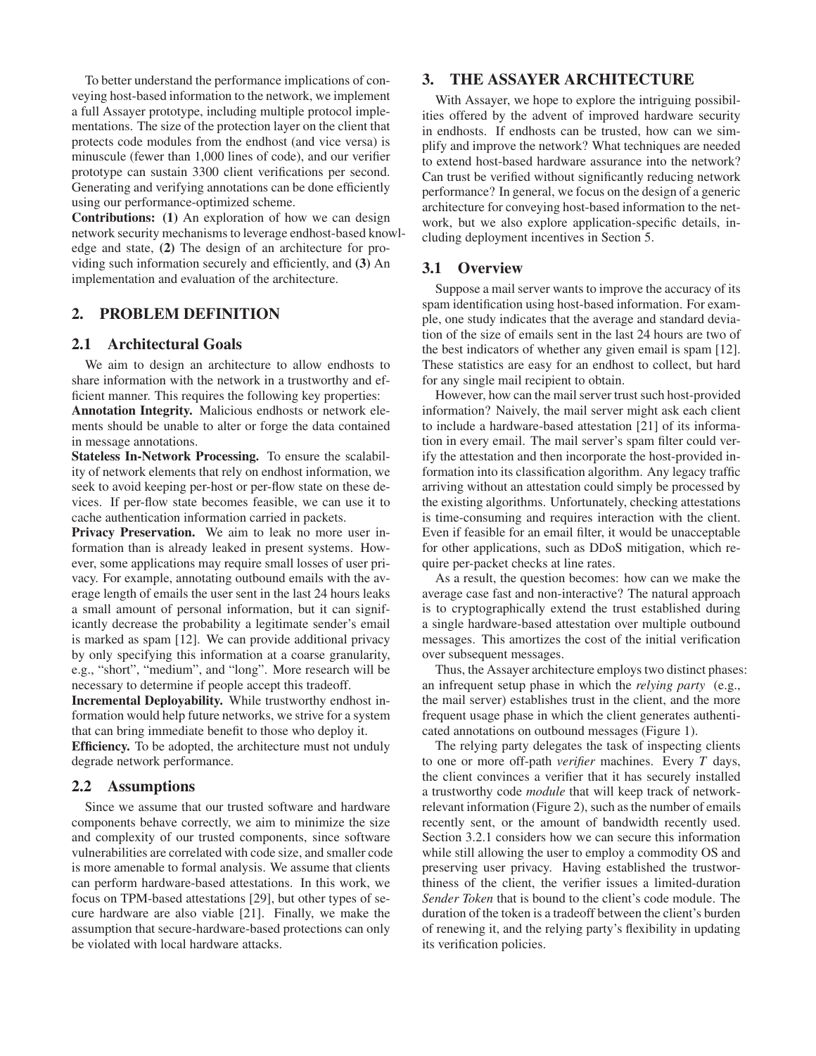To better understand the performance implications of conveying host-based information to the network, we implement a full Assayer prototype, including multiple protocol implementations. The size of the protection layer on the client that protects code modules from the endhost (and vice versa) is minuscule (fewer than 1,000 lines of code), and our verifier prototype can sustain 3300 client verifications per second. Generating and verifying annotations can be done efficiently using our performance-optimized scheme.

**Contributions: (1)** An exploration of how we can design network security mechanisms to leverage endhost-based knowledge and state, **(2)** The design of an architecture for providing such information securely and efficiently, and **(3)** An implementation and evaluation of the architecture.

# **2. PROBLEM DEFINITION**

### **2.1 Architectural Goals**

We aim to design an architecture to allow endhosts to share information with the network in a trustworthy and efficient manner. This requires the following key properties: **Annotation Integrity.** Malicious endhosts or network elements should be unable to alter or forge the data contained in message annotations.

**Stateless In-Network Processing.** To ensure the scalability of network elements that rely on endhost information, we seek to avoid keeping per-host or per-flow state on these devices. If per-flow state becomes feasible, we can use it to cache authentication information carried in packets.

**Privacy Preservation.** We aim to leak no more user information than is already leaked in present systems. However, some applications may require small losses of user privacy. For example, annotating outbound emails with the average length of emails the user sent in the last 24 hours leaks a small amount of personal information, but it can significantly decrease the probability a legitimate sender's email is marked as spam [12]. We can provide additional privacy by only specifying this information at a coarse granularity, e.g., "short", "medium", and "long". More research will be necessary to determine if people accept this tradeoff.

**Incremental Deployability.** While trustworthy endhost information would help future networks, we strive for a system that can bring immediate benefit to those who deploy it. **Efficiency.** To be adopted, the architecture must not unduly degrade network performance.

# **2.2 Assumptions**

Since we assume that our trusted software and hardware components behave correctly, we aim to minimize the size and complexity of our trusted components, since software vulnerabilities are correlated with code size, and smaller code is more amenable to formal analysis. We assume that clients can perform hardware-based attestations. In this work, we focus on TPM-based attestations [29], but other types of secure hardware are also viable [21]. Finally, we make the assumption that secure-hardware-based protections can only be violated with local hardware attacks.

# **3. THE ASSAYER ARCHITECTURE**

With Assayer, we hope to explore the intriguing possibilities offered by the advent of improved hardware security in endhosts. If endhosts can be trusted, how can we simplify and improve the network? What techniques are needed to extend host-based hardware assurance into the network? Can trust be verified without significantly reducing network performance? In general, we focus on the design of a generic architecture for conveying host-based information to the network, but we also explore application-specific details, including deployment incentives in Section 5.

### **3.1 Overview**

Suppose a mail server wants to improve the accuracy of its spam identification using host-based information. For example, one study indicates that the average and standard deviation of the size of emails sent in the last 24 hours are two of the best indicators of whether any given email is spam [12]. These statistics are easy for an endhost to collect, but hard for any single mail recipient to obtain.

However, how can the mail server trust such host-provided information? Naively, the mail server might ask each client to include a hardware-based attestation [21] of its information in every email. The mail server's spam filter could verify the attestation and then incorporate the host-provided information into its classification algorithm. Any legacy traffic arriving without an attestation could simply be processed by the existing algorithms. Unfortunately, checking attestations is time-consuming and requires interaction with the client. Even if feasible for an email filter, it would be unacceptable for other applications, such as DDoS mitigation, which require per-packet checks at line rates.

As a result, the question becomes: how can we make the average case fast and non-interactive? The natural approach is to cryptographically extend the trust established during a single hardware-based attestation over multiple outbound messages. This amortizes the cost of the initial verification over subsequent messages.

Thus, the Assayer architecture employs two distinct phases: an infrequent setup phase in which the *relying party* (e.g., the mail server) establishes trust in the client, and the more frequent usage phase in which the client generates authenticated annotations on outbound messages (Figure 1).

The relying party delegates the task of inspecting clients to one or more off-path *verifier* machines. Every *T* days, the client convinces a verifier that it has securely installed a trustworthy code *module* that will keep track of networkrelevant information (Figure 2), such as the number of emails recently sent, or the amount of bandwidth recently used. Section 3.2.1 considers how we can secure this information while still allowing the user to employ a commodity OS and preserving user privacy. Having established the trustworthiness of the client, the verifier issues a limited-duration *Sender Token* that is bound to the client's code module. The duration of the token is a tradeoff between the client's burden of renewing it, and the relying party's flexibility in updating its verification policies.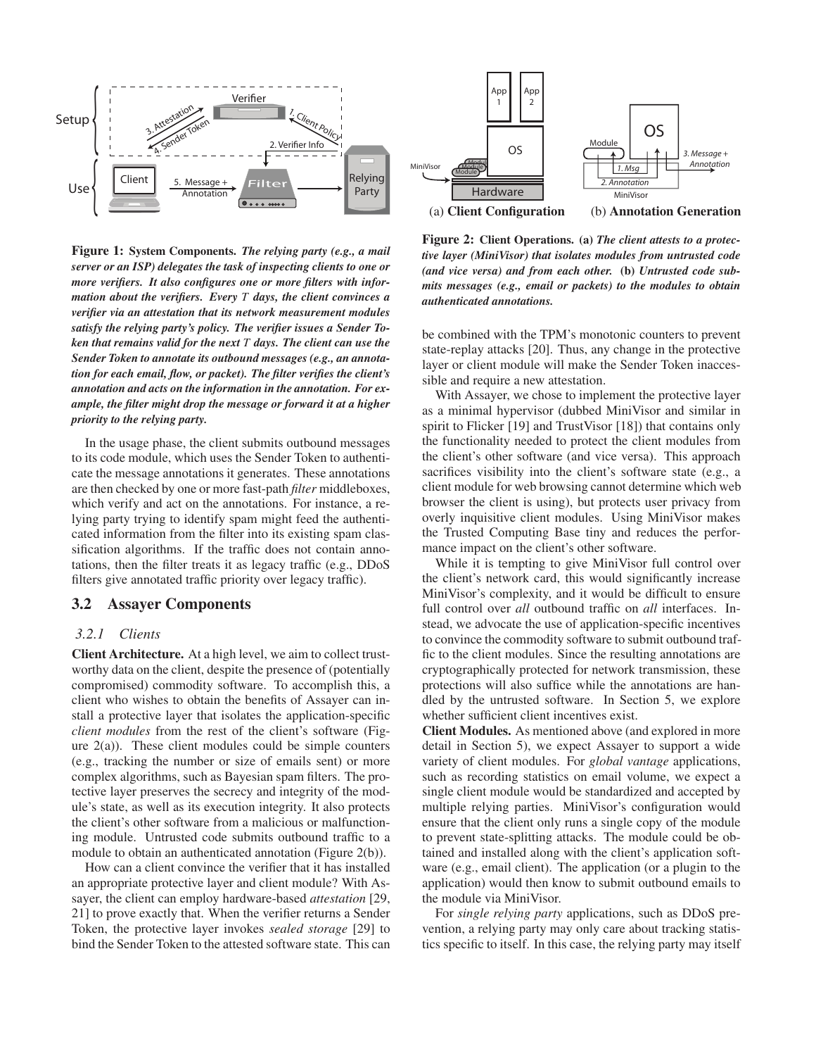

**Figure 1: System Components.** *The relying party (e.g., a mail server or an ISP) delegates the task of inspecting clients to one or more verifiers. It also configures one or more filters with information about the verifiers. Every T days, the client convinces a verifier via an attestation that its network measurement modules satisfy the relying party's policy. The verifier issues a Sender Token that remains valid for the next T days. The client can use the Sender Token to annotate its outbound messages (e.g., an annotation for each email, flow, or packet). The filter verifies the client's annotation and acts on the information in the annotation. For example, the filter might drop the message or forward it at a higher priority to the relying party.*

In the usage phase, the client submits outbound messages to its code module, which uses the Sender Token to authenticate the message annotations it generates. These annotations are then checked by one or more fast-path *filter* middleboxes, which verify and act on the annotations. For instance, a relying party trying to identify spam might feed the authenticated information from the filter into its existing spam classification algorithms. If the traffic does not contain annotations, then the filter treats it as legacy traffic (e.g., DDoS filters give annotated traffic priority over legacy traffic).

### **3.2 Assayer Components**

### *3.2.1 Clients*

**Client Architecture.** At a high level, we aim to collect trustworthy data on the client, despite the presence of (potentially compromised) commodity software. To accomplish this, a client who wishes to obtain the benefits of Assayer can install a protective layer that isolates the application-specific *client modules* from the rest of the client's software (Figure  $2(a)$ ). These client modules could be simple counters (e.g., tracking the number or size of emails sent) or more complex algorithms, such as Bayesian spam filters. The protective layer preserves the secrecy and integrity of the module's state, as well as its execution integrity. It also protects the client's other software from a malicious or malfunctioning module. Untrusted code submits outbound traffic to a module to obtain an authenticated annotation (Figure 2(b)).

How can a client convince the verifier that it has installed an appropriate protective layer and client module? With Assayer, the client can employ hardware-based *attestation* [29, 21] to prove exactly that. When the verifier returns a Sender Token, the protective layer invokes *sealed storage* [29] to bind the Sender Token to the attested software state. This can



**Figure 2: Client Operations. (a)** *The client attests to a protective layer (MiniVisor) that isolates modules from untrusted code (and vice versa) and from each other.* **(b)** *Untrusted code submits messages (e.g., email or packets) to the modules to obtain authenticated annotations.*

be combined with the TPM's monotonic counters to prevent state-replay attacks [20]. Thus, any change in the protective layer or client module will make the Sender Token inaccessible and require a new attestation.

With Assayer, we chose to implement the protective layer as a minimal hypervisor (dubbed MiniVisor and similar in spirit to Flicker [19] and TrustVisor [18]) that contains only the functionality needed to protect the client modules from the client's other software (and vice versa). This approach sacrifices visibility into the client's software state (e.g., a client module for web browsing cannot determine which web browser the client is using), but protects user privacy from overly inquisitive client modules. Using MiniVisor makes the Trusted Computing Base tiny and reduces the performance impact on the client's other software.

While it is tempting to give MiniVisor full control over the client's network card, this would significantly increase MiniVisor's complexity, and it would be difficult to ensure full control over *all* outbound traffic on *all* interfaces. Instead, we advocate the use of application-specific incentives to convince the commodity software to submit outbound traffic to the client modules. Since the resulting annotations are cryptographically protected for network transmission, these protections will also suffice while the annotations are handled by the untrusted software. In Section 5, we explore whether sufficient client incentives exist.

**Client Modules.** As mentioned above (and explored in more detail in Section 5), we expect Assayer to support a wide variety of client modules. For *global vantage* applications, such as recording statistics on email volume, we expect a single client module would be standardized and accepted by multiple relying parties. MiniVisor's configuration would ensure that the client only runs a single copy of the module to prevent state-splitting attacks. The module could be obtained and installed along with the client's application software (e.g., email client). The application (or a plugin to the application) would then know to submit outbound emails to the module via MiniVisor.

For *single relying party* applications, such as DDoS prevention, a relying party may only care about tracking statistics specific to itself. In this case, the relying party may itself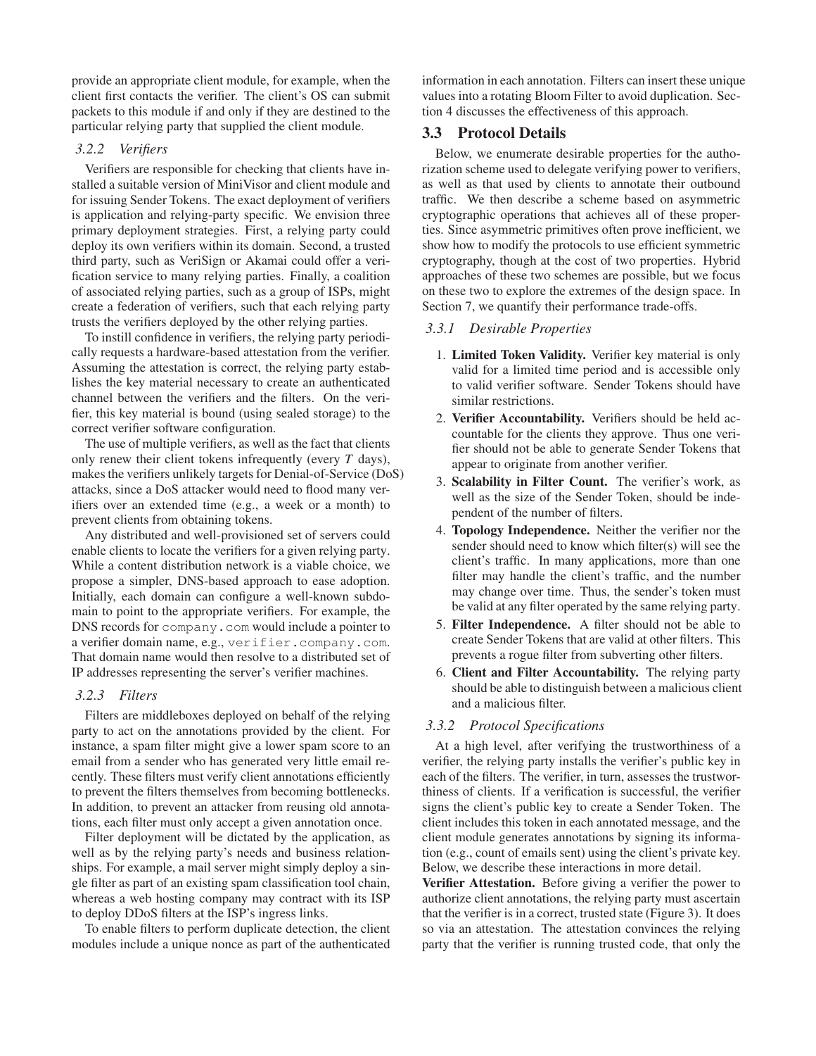provide an appropriate client module, for example, when the client first contacts the verifier. The client's OS can submit packets to this module if and only if they are destined to the particular relying party that supplied the client module.

### *3.2.2 Verifiers*

Verifiers are responsible for checking that clients have installed a suitable version of MiniVisor and client module and for issuing Sender Tokens. The exact deployment of verifiers is application and relying-party specific. We envision three primary deployment strategies. First, a relying party could deploy its own verifiers within its domain. Second, a trusted third party, such as VeriSign or Akamai could offer a verification service to many relying parties. Finally, a coalition of associated relying parties, such as a group of ISPs, might create a federation of verifiers, such that each relying party trusts the verifiers deployed by the other relying parties.

To instill confidence in verifiers, the relying party periodically requests a hardware-based attestation from the verifier. Assuming the attestation is correct, the relying party establishes the key material necessary to create an authenticated channel between the verifiers and the filters. On the verifier, this key material is bound (using sealed storage) to the correct verifier software configuration.

The use of multiple verifiers, as well as the fact that clients only renew their client tokens infrequently (every *T* days), makes the verifiers unlikely targets for Denial-of-Service (DoS) attacks, since a DoS attacker would need to flood many verifiers over an extended time (e.g., a week or a month) to prevent clients from obtaining tokens.

Any distributed and well-provisioned set of servers could enable clients to locate the verifiers for a given relying party. While a content distribution network is a viable choice, we propose a simpler, DNS-based approach to ease adoption. Initially, each domain can configure a well-known subdomain to point to the appropriate verifiers. For example, the DNS records for company.com would include a pointer to a verifier domain name, e.g., verifier.company.com. That domain name would then resolve to a distributed set of IP addresses representing the server's verifier machines.

### *3.2.3 Filters*

Filters are middleboxes deployed on behalf of the relying party to act on the annotations provided by the client. For instance, a spam filter might give a lower spam score to an email from a sender who has generated very little email recently. These filters must verify client annotations efficiently to prevent the filters themselves from becoming bottlenecks. In addition, to prevent an attacker from reusing old annotations, each filter must only accept a given annotation once.

Filter deployment will be dictated by the application, as well as by the relying party's needs and business relationships. For example, a mail server might simply deploy a single filter as part of an existing spam classification tool chain, whereas a web hosting company may contract with its ISP to deploy DDoS filters at the ISP's ingress links.

To enable filters to perform duplicate detection, the client modules include a unique nonce as part of the authenticated information in each annotation. Filters can insert these unique values into a rotating Bloom Filter to avoid duplication. Section 4 discusses the effectiveness of this approach.

### **3.3 Protocol Details**

Below, we enumerate desirable properties for the authorization scheme used to delegate verifying power to verifiers, as well as that used by clients to annotate their outbound traffic. We then describe a scheme based on asymmetric cryptographic operations that achieves all of these properties. Since asymmetric primitives often prove inefficient, we show how to modify the protocols to use efficient symmetric cryptography, though at the cost of two properties. Hybrid approaches of these two schemes are possible, but we focus on these two to explore the extremes of the design space. In Section 7, we quantify their performance trade-offs.

### *3.3.1 Desirable Properties*

- 1. **Limited Token Validity.** Verifier key material is only valid for a limited time period and is accessible only to valid verifier software. Sender Tokens should have similar restrictions.
- 2. **Verifier Accountability.** Verifiers should be held accountable for the clients they approve. Thus one verifier should not be able to generate Sender Tokens that appear to originate from another verifier.
- 3. **Scalability in Filter Count.** The verifier's work, as well as the size of the Sender Token, should be independent of the number of filters.
- 4. **Topology Independence.** Neither the verifier nor the sender should need to know which filter(s) will see the client's traffic. In many applications, more than one filter may handle the client's traffic, and the number may change over time. Thus, the sender's token must be valid at any filter operated by the same relying party.
- 5. **Filter Independence.** A filter should not be able to create Sender Tokens that are valid at other filters. This prevents a rogue filter from subverting other filters.
- 6. **Client and Filter Accountability.** The relying party should be able to distinguish between a malicious client and a malicious filter.

### *3.3.2 Protocol Specifications*

At a high level, after verifying the trustworthiness of a verifier, the relying party installs the verifier's public key in each of the filters. The verifier, in turn, assesses the trustworthiness of clients. If a verification is successful, the verifier signs the client's public key to create a Sender Token. The client includes this token in each annotated message, and the client module generates annotations by signing its information (e.g., count of emails sent) using the client's private key. Below, we describe these interactions in more detail.

**Verifier Attestation.** Before giving a verifier the power to authorize client annotations, the relying party must ascertain that the verifier is in a correct, trusted state (Figure 3). It does so via an attestation. The attestation convinces the relying party that the verifier is running trusted code, that only the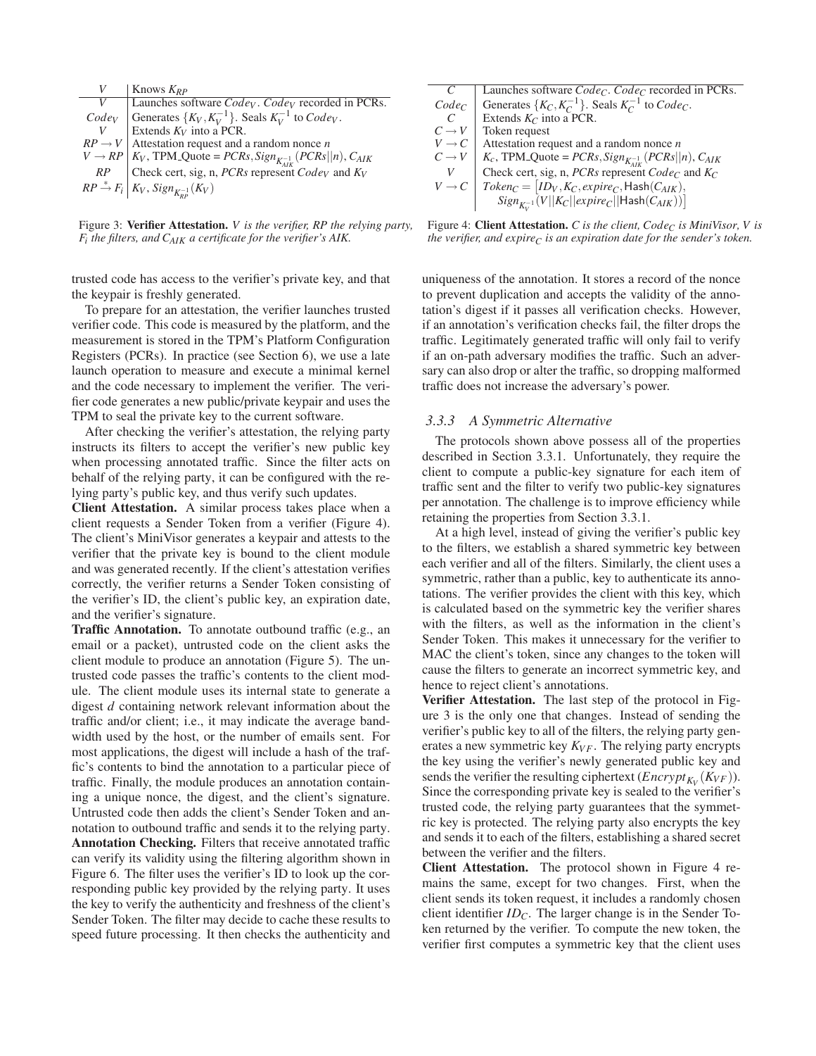|           | <b>Knows</b> $K_{RP}$                                                                                 |
|-----------|-------------------------------------------------------------------------------------------------------|
| $\bar{V}$ | Launches software $Code_V$ . Codey recorded in PCRs.                                                  |
|           | <i>Codev</i> Generates $\{K_V, K_V^{-1}\}$ . Seals $K_V^{-1}$ to <i>Codev</i> .                       |
|           | $V$ [Extends $K_V$ into a PCR.                                                                        |
|           | $RP \rightarrow V$ Attestation request and a random nonce <i>n</i>                                    |
|           | $V \rightarrow RP \mid K_V$ , TPM_Quote = $PCRs$ , $Sign_{K_{AJK}}^{-1}$ ( $PCRs \mid n$ ), $C_{AJK}$ |
|           | $RP$ Check cert, sig, n, <i>PCRs</i> represent <i>Code</i> <sub>V</sub> and $K_V$                     |
|           | $RP \stackrel{*}{\rightarrow} F_i   K_V, Sign_{K_{RP}^{-1}}(K_V)$                                     |

Figure 3: **Verifier Attestation.** *V is the verifier, RP the relying party, Fi the filters, and CAIK a certificate for the verifier's AIK.*

trusted code has access to the verifier's private key, and that the keypair is freshly generated.

To prepare for an attestation, the verifier launches trusted verifier code. This code is measured by the platform, and the measurement is stored in the TPM's Platform Configuration Registers (PCRs). In practice (see Section 6), we use a late launch operation to measure and execute a minimal kernel and the code necessary to implement the verifier. The verifier code generates a new public/private keypair and uses the TPM to seal the private key to the current software.

After checking the verifier's attestation, the relying party instructs its filters to accept the verifier's new public key when processing annotated traffic. Since the filter acts on behalf of the relying party, it can be configured with the relying party's public key, and thus verify such updates.

**Client Attestation.** A similar process takes place when a client requests a Sender Token from a verifier (Figure 4). The client's MiniVisor generates a keypair and attests to the verifier that the private key is bound to the client module and was generated recently. If the client's attestation verifies correctly, the verifier returns a Sender Token consisting of the verifier's ID, the client's public key, an expiration date, and the verifier's signature.

**Traffic Annotation.** To annotate outbound traffic (e.g., an email or a packet), untrusted code on the client asks the client module to produce an annotation (Figure 5). The untrusted code passes the traffic's contents to the client module. The client module uses its internal state to generate a digest *d* containing network relevant information about the traffic and/or client; i.e., it may indicate the average bandwidth used by the host, or the number of emails sent. For most applications, the digest will include a hash of the traffic's contents to bind the annotation to a particular piece of traffic. Finally, the module produces an annotation containing a unique nonce, the digest, and the client's signature. Untrusted code then adds the client's Sender Token and annotation to outbound traffic and sends it to the relying party. **Annotation Checking.** Filters that receive annotated traffic can verify its validity using the filtering algorithm shown in Figure 6. The filter uses the verifier's ID to look up the corresponding public key provided by the relying party. It uses the key to verify the authenticity and freshness of the client's Sender Token. The filter may decide to cache these results to speed future processing. It then checks the authenticity and

|                   | Launches software $Code_C$ . Code <sub>C</sub> recorded in PCRs.        |
|-------------------|-------------------------------------------------------------------------|
| $Code_C$          | Generates $\{K_C, K_C^{-1}\}\$ . Seals $K_C^{-1}$ to $Code_C$ .         |
|                   | Extends $K_C$ into a PCR.                                               |
| $C \rightarrow V$ | Token request                                                           |
| $V \to C$         | Attestation request and a random nonce $n$                              |
| $C \rightarrow V$ | $K_c$ , TPM_Quote = $PCRs$ , $Sign_{K_{AIK}}^{-1}(PCRs  n)$ , $C_{AIK}$ |
| V                 | Check cert, sig, n, PCRs represent $Code_C$ and $K_C$                   |
| $V \to C$         | $Token_C = [ID_V, K_C, expire_C, Hash(C_{AIK}),$                        |
|                   | $Sign_{K_V^{-1}}(V  K_C  expire_C  \text{Hash}(C_{AIK}))$               |

Figure 4: **Client Attestation.** *C is the client, Code<sup>C</sup> is MiniVisor, V is the verifier, and expire<sub>C</sub> is an expiration date for the sender's token.* 

uniqueness of the annotation. It stores a record of the nonce to prevent duplication and accepts the validity of the annotation's digest if it passes all verification checks. However, if an annotation's verification checks fail, the filter drops the traffic. Legitimately generated traffic will only fail to verify if an on-path adversary modifies the traffic. Such an adversary can also drop or alter the traffic, so dropping malformed traffic does not increase the adversary's power.

### *3.3.3 A Symmetric Alternative*

The protocols shown above possess all of the properties described in Section 3.3.1. Unfortunately, they require the client to compute a public-key signature for each item of traffic sent and the filter to verify two public-key signatures per annotation. The challenge is to improve efficiency while retaining the properties from Section 3.3.1.

At a high level, instead of giving the verifier's public key to the filters, we establish a shared symmetric key between each verifier and all of the filters. Similarly, the client uses a symmetric, rather than a public, key to authenticate its annotations. The verifier provides the client with this key, which is calculated based on the symmetric key the verifier shares with the filters, as well as the information in the client's Sender Token. This makes it unnecessary for the verifier to MAC the client's token, since any changes to the token will cause the filters to generate an incorrect symmetric key, and hence to reject client's annotations.

**Verifier Attestation.** The last step of the protocol in Figure 3 is the only one that changes. Instead of sending the verifier's public key to all of the filters, the relying party generates a new symmetric key  $K_{VF}$ . The relying party encrypts the key using the verifier's newly generated public key and sends the verifier the resulting ciphertext  $(Encrypt_{K_V}(K_{VF}))$ . Since the corresponding private key is sealed to the verifier's trusted code, the relying party guarantees that the symmetric key is protected. The relying party also encrypts the key and sends it to each of the filters, establishing a shared secret between the verifier and the filters.

**Client Attestation.** The protocol shown in Figure 4 remains the same, except for two changes. First, when the client sends its token request, it includes a randomly chosen client identifier *IDC*. The larger change is in the Sender Token returned by the verifier. To compute the new token, the verifier first computes a symmetric key that the client uses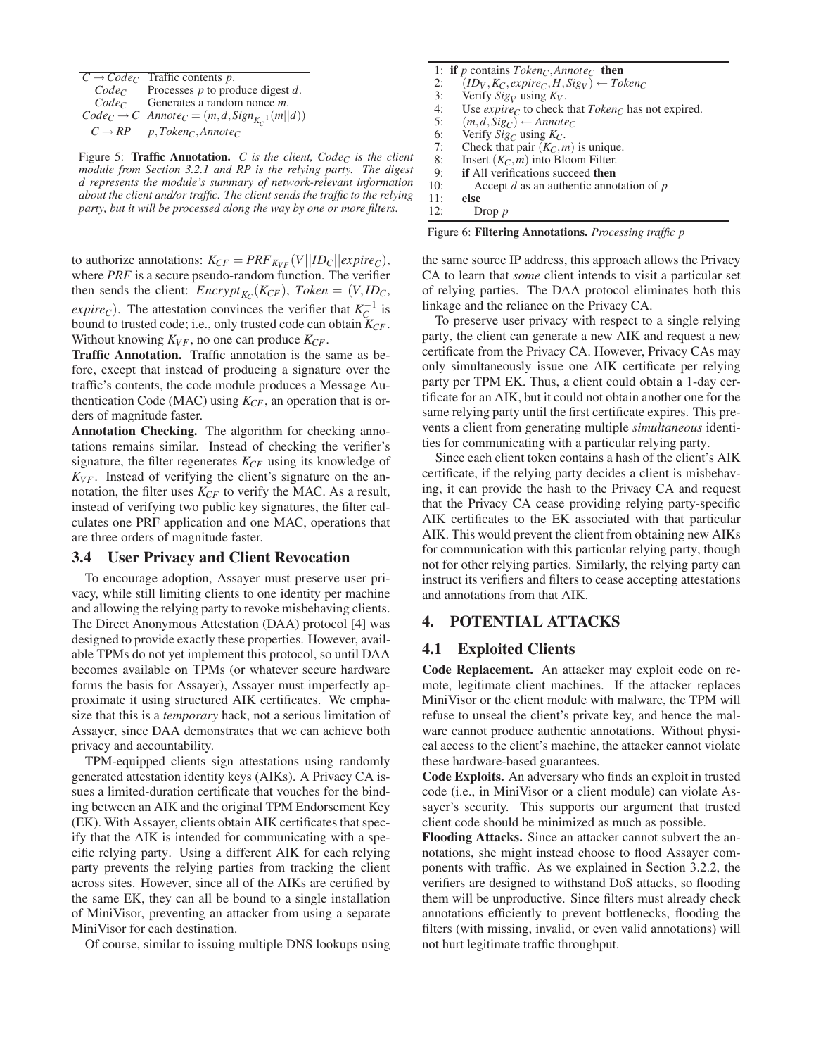| $\begin{array}{c}\nC \rightarrow Code_C \\ CodeC\n\end{array}$ Traffic contents p.<br>$Code_C$ Processes p to produce digest d.<br>$Code_C$ Generates a random nonce m.<br>$Code_C \rightarrow C$ Annote <sub>C</sub> = (m, d, Sign <sub><math>K_C^{-1}(m  d)</math>)</sub> |
|-----------------------------------------------------------------------------------------------------------------------------------------------------------------------------------------------------------------------------------------------------------------------------|
| $C \rightarrow RP$   p, Token <sub>C</sub> , Annote <sub>C</sub>                                                                                                                                                                                                            |

Figure 5: **Traffic Annotation.** *C* is the client, Code<sub>C</sub> is the client *module from Section 3.2.1 and RP is the relying party. The digest d represents the module's summary of network-relevant information about the client and/or traffic. The client sends the traffic to the relying party, but it will be processed along the way by one or more filters.*

to authorize annotations:  $K_{CF} = PRF_{K_{VF}}(V||ID_C||expire_C),$ where *PRF* is a secure pseudo-random function. The verifier then sends the client:  $\text{Encrypt}_{K_C}(K_{CF})$ ,  $\text{Token} = (V, ID_C,$ *expire<sub>C</sub>*). The attestation convinces the verifier that  $K_C^{-1}$  is bound to trusted code; i.e., only trusted code can obtain *KCF* . Without knowing  $K_{VF}$ , no one can produce  $K_{CF}$ .

**Traffic Annotation.** Traffic annotation is the same as before, except that instead of producing a signature over the traffic's contents, the code module produces a Message Authentication Code (MAC) using *KCF* , an operation that is orders of magnitude faster.

**Annotation Checking.** The algorithm for checking annotations remains similar. Instead of checking the verifier's signature, the filter regenerates *KCF* using its knowledge of  $K_{VF}$ . Instead of verifying the client's signature on the annotation, the filter uses *KCF* to verify the MAC. As a result, instead of verifying two public key signatures, the filter calculates one PRF application and one MAC, operations that are three orders of magnitude faster.

### **3.4 User Privacy and Client Revocation**

To encourage adoption, Assayer must preserve user privacy, while still limiting clients to one identity per machine and allowing the relying party to revoke misbehaving clients. The Direct Anonymous Attestation (DAA) protocol [4] was designed to provide exactly these properties. However, available TPMs do not yet implement this protocol, so until DAA becomes available on TPMs (or whatever secure hardware forms the basis for Assayer), Assayer must imperfectly approximate it using structured AIK certificates. We emphasize that this is a *temporary* hack, not a serious limitation of Assayer, since DAA demonstrates that we can achieve both privacy and accountability.

TPM-equipped clients sign attestations using randomly generated attestation identity keys (AIKs). A Privacy CA issues a limited-duration certificate that vouches for the binding between an AIK and the original TPM Endorsement Key (EK). With Assayer, clients obtain AIK certificates that specify that the AIK is intended for communicating with a specific relying party. Using a different AIK for each relying party prevents the relying parties from tracking the client across sites. However, since all of the AIKs are certified by the same EK, they can all be bound to a single installation of MiniVisor, preventing an attacker from using a separate MiniVisor for each destination.

Of course, similar to issuing multiple DNS lookups using

# 1: **if** *p* contains *Tokenc*, *Annotec* **then**<br>2:  $(ID_V, K_C, explore_C, H, Sig_V) \leftarrow To$

- 2:  $(ID_V, K_C, expire_C, H, Sig_V) \leftarrow Token_C$
- 3: Verify  $Sig_V$  using  $K_V$ .<br>4: Use *expire<sub>c</sub>* to check 1
- 4: Use  $\exp\{r}c_C$  to check that  $Token_C$  has not expired.<br>5:  $(m,d, Sig_C) \leftarrow Annote_C$
- 5:  $(m,d, \text{Sig}_C) \leftarrow \text{Annote}_C$ <br>6: Verify Sig<sub>C</sub> using K<sub>C</sub>.
- 6: Verify *Sig<sub>C</sub>* using  $K_C$ .<br>7: Check that pair  $(K_C, n)$
- 7: Check that pair  $(K_C, m)$  is unique.<br>8: Insert  $(K_C, m)$  into Bloom Filter.
- 8: Insert  $(K_C, m)$  into Bloom Filter.<br>9: **if** All verifications succeed **then** 
	- 9: **if** All verifications succeed **then**
- 10: Accept *d* as an authentic annotation of *p*<br>11: **else**
- 11: **else** Drop *p*

|  | Figure 6: Filtering Annotations. Processing traffic p |  |
|--|-------------------------------------------------------|--|
|  |                                                       |  |

the same source IP address, this approach allows the Privacy CA to learn that *some* client intends to visit a particular set of relying parties. The DAA protocol eliminates both this linkage and the reliance on the Privacy CA.

To preserve user privacy with respect to a single relying party, the client can generate a new AIK and request a new certificate from the Privacy CA. However, Privacy CAs may only simultaneously issue one AIK certificate per relying party per TPM EK. Thus, a client could obtain a 1-day certificate for an AIK, but it could not obtain another one for the same relying party until the first certificate expires. This prevents a client from generating multiple *simultaneous* identities for communicating with a particular relying party.

Since each client token contains a hash of the client's AIK certificate, if the relying party decides a client is misbehaving, it can provide the hash to the Privacy CA and request that the Privacy CA cease providing relying party-specific AIK certificates to the EK associated with that particular AIK. This would prevent the client from obtaining new AIKs for communication with this particular relying party, though not for other relying parties. Similarly, the relying party can instruct its verifiers and filters to cease accepting attestations and annotations from that AIK.

### **4. POTENTIAL ATTACKS**

### **4.1 Exploited Clients**

**Code Replacement.** An attacker may exploit code on remote, legitimate client machines. If the attacker replaces MiniVisor or the client module with malware, the TPM will refuse to unseal the client's private key, and hence the malware cannot produce authentic annotations. Without physical access to the client's machine, the attacker cannot violate these hardware-based guarantees.

**Code Exploits.** An adversary who finds an exploit in trusted code (i.e., in MiniVisor or a client module) can violate Assayer's security. This supports our argument that trusted client code should be minimized as much as possible.

**Flooding Attacks.** Since an attacker cannot subvert the annotations, she might instead choose to flood Assayer components with traffic. As we explained in Section 3.2.2, the verifiers are designed to withstand DoS attacks, so flooding them will be unproductive. Since filters must already check annotations efficiently to prevent bottlenecks, flooding the filters (with missing, invalid, or even valid annotations) will not hurt legitimate traffic throughput.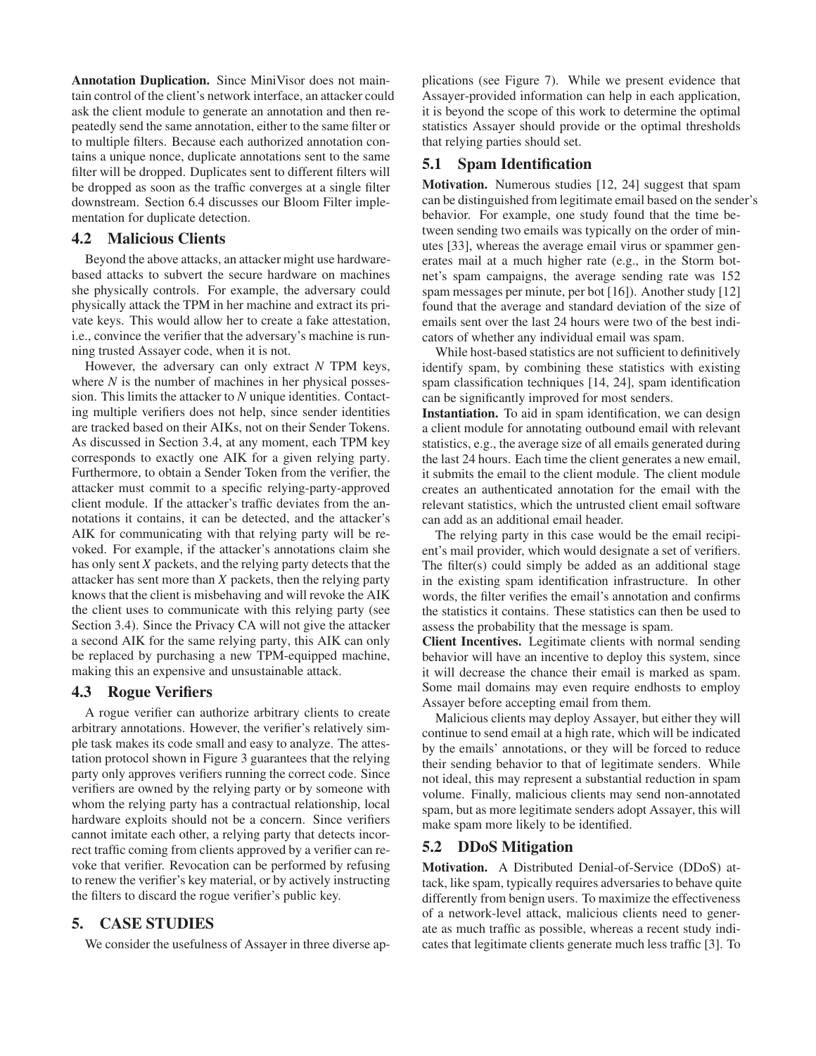**Annotation Duplication.** Since MiniVisor does not maintain control of the client's network interface, an attacker could ask the client module to generate an annotation and then repeatedly send the same annotation, either to the same filter or to multiple filters. Because each authorized annotation contains a unique nonce, duplicate annotations sent to the same filter will be dropped. Duplicates sent to different filters will be dropped as soon as the traffic converges at a single filter downstream. Section 6.4 discusses our Bloom Filter implementation for duplicate detection.

### **4.2 Malicious Clients**

Beyond the above attacks, an attacker might use hardwarebased attacks to subvert the secure hardware on machines she physically controls. For example, the adversary could physically attack the TPM in her machine and extract its private keys. This would allow her to create a fake attestation, i.e., convince the verifier that the adversary's machine is running trusted Assayer code, when it is not.

However, the adversary can only extract *N* TPM keys, where *N* is the number of machines in her physical possession. This limits the attacker to *N* unique identities. Contacting multiple verifiers does not help, since sender identities are tracked based on their AIKs, not on their Sender Tokens. As discussed in Section 3.4, at any moment, each TPM key corresponds to exactly one AIK for a given relying party. Furthermore, to obtain a Sender Token from the verifier, the attacker must commit to a specific relying-party-approved client module. If the attacker's traffic deviates from the annotations it contains, it can be detected, and the attacker's AIK for communicating with that relying party will be revoked. For example, if the attacker's annotations claim she has only sent *X* packets, and the relying party detects that the attacker has sent more than *X* packets, then the relying party knows that the client is misbehaving and will revoke the AIK the client uses to communicate with this relying party (see Section 3.4). Since the Privacy CA will not give the attacker a second AIK for the same relying party, this AIK can only be replaced by purchasing a new TPM-equipped machine, making this an expensive and unsustainable attack.

# **4.3 Rogue Verifiers**

A rogue verifier can authorize arbitrary clients to create arbitrary annotations. However, the verifier's relatively simple task makes its code small and easy to analyze. The attestation protocol shown in Figure 3 guarantees that the relying party only approves verifiers running the correct code. Since verifiers are owned by the relying party or by someone with whom the relying party has a contractual relationship, local hardware exploits should not be a concern. Since verifiers cannot imitate each other, a relying party that detects incorrect traffic coming from clients approved by a verifier can revoke that verifier. Revocation can be performed by refusing to renew the verifier's key material, or by actively instructing the filters to discard the rogue verifier's public key.

# **5. CASE STUDIES**

We consider the usefulness of Assayer in three diverse ap-

plications (see Figure 7). While we present evidence that Assayer-provided information can help in each application, it is beyond the scope of this work to determine the optimal statistics Assayer should provide or the optimal thresholds that relying parties should set.

# **5.1 Spam Identification**

**Motivation.** Numerous studies [12, 24] suggest that spam can be distinguished from legitimate email based on the sender's behavior. For example, one study found that the time between sending two emails was typically on the order of minutes [33], whereas the average email virus or spammer generates mail at a much higher rate (e.g., in the Storm botnet's spam campaigns, the average sending rate was 152 spam messages per minute, per bot [16]). Another study [12] found that the average and standard deviation of the size of emails sent over the last 24 hours were two of the best indicators of whether any individual email was spam.

While host-based statistics are not sufficient to definitively identify spam, by combining these statistics with existing spam classification techniques [14, 24], spam identification can be significantly improved for most senders.

**Instantiation.** To aid in spam identification, we can design a client module for annotating outbound email with relevant statistics, e.g., the average size of all emails generated during the last 24 hours. Each time the client generates a new email, it submits the email to the client module. The client module creates an authenticated annotation for the email with the relevant statistics, which the untrusted client email software can add as an additional email header.

The relying party in this case would be the email recipient's mail provider, which would designate a set of verifiers. The filter(s) could simply be added as an additional stage in the existing spam identification infrastructure. In other words, the filter verifies the email's annotation and confirms the statistics it contains. These statistics can then be used to assess the probability that the message is spam.

**Client Incentives.** Legitimate clients with normal sending behavior will have an incentive to deploy this system, since it will decrease the chance their email is marked as spam. Some mail domains may even require endhosts to employ Assayer before accepting email from them.

Malicious clients may deploy Assayer, but either they will continue to send email at a high rate, which will be indicated by the emails' annotations, or they will be forced to reduce their sending behavior to that of legitimate senders. While not ideal, this may represent a substantial reduction in spam volume. Finally, malicious clients may send non-annotated spam, but as more legitimate senders adopt Assayer, this will make spam more likely to be identified.

# **5.2 DDoS Mitigation**

**Motivation.** A Distributed Denial-of-Service (DDoS) attack, like spam, typically requires adversaries to behave quite differently from benign users. To maximize the effectiveness of a network-level attack, malicious clients need to generate as much traffic as possible, whereas a recent study indicates that legitimate clients generate much less traffic [3]. To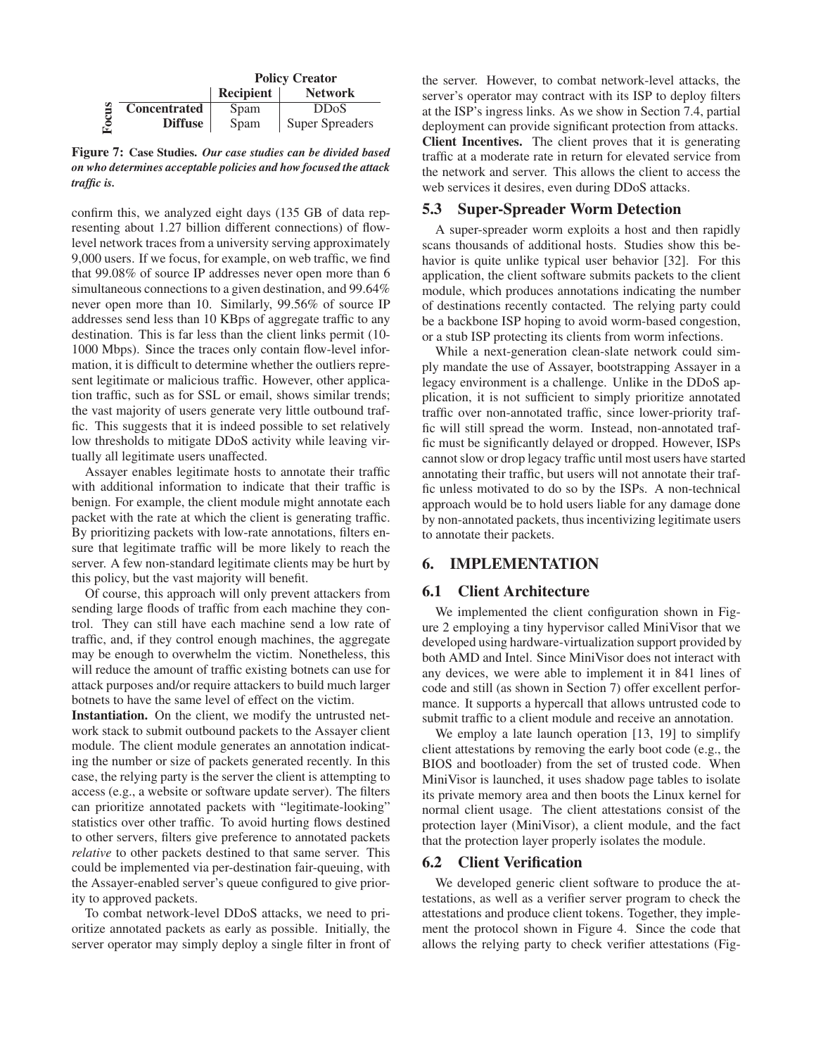|   |                | <b>Policy Creator</b> |                        |  |  |  |
|---|----------------|-----------------------|------------------------|--|--|--|
|   |                | Recipient             | <b>Network</b>         |  |  |  |
| ≌ | Concentrated   | Spam                  | <b>DDoS</b>            |  |  |  |
|   | <b>Diffuse</b> | Spam                  | <b>Super Spreaders</b> |  |  |  |

**Figure 7: Case Studies.** *Our case studies can be divided based on who determines acceptable policies and how focused the attack traffic is.*

confirm this, we analyzed eight days (135 GB of data representing about 1.27 billion different connections) of flowlevel network traces from a university serving approximately 9,000 users. If we focus, for example, on web traffic, we find that 99.08% of source IP addresses never open more than 6 simultaneous connections to a given destination, and 99.64% never open more than 10. Similarly, 99.56% of source IP addresses send less than 10 KBps of aggregate traffic to any destination. This is far less than the client links permit (10- 1000 Mbps). Since the traces only contain flow-level information, it is difficult to determine whether the outliers represent legitimate or malicious traffic. However, other application traffic, such as for SSL or email, shows similar trends; the vast majority of users generate very little outbound traffic. This suggests that it is indeed possible to set relatively low thresholds to mitigate DDoS activity while leaving virtually all legitimate users unaffected.

Assayer enables legitimate hosts to annotate their traffic with additional information to indicate that their traffic is benign. For example, the client module might annotate each packet with the rate at which the client is generating traffic. By prioritizing packets with low-rate annotations, filters ensure that legitimate traffic will be more likely to reach the server. A few non-standard legitimate clients may be hurt by this policy, but the vast majority will benefit.

Of course, this approach will only prevent attackers from sending large floods of traffic from each machine they control. They can still have each machine send a low rate of traffic, and, if they control enough machines, the aggregate may be enough to overwhelm the victim. Nonetheless, this will reduce the amount of traffic existing botnets can use for attack purposes and/or require attackers to build much larger botnets to have the same level of effect on the victim.

**Instantiation.** On the client, we modify the untrusted network stack to submit outbound packets to the Assayer client module. The client module generates an annotation indicating the number or size of packets generated recently. In this case, the relying party is the server the client is attempting to access (e.g., a website or software update server). The filters can prioritize annotated packets with "legitimate-looking" statistics over other traffic. To avoid hurting flows destined to other servers, filters give preference to annotated packets *relative* to other packets destined to that same server. This could be implemented via per-destination fair-queuing, with the Assayer-enabled server's queue configured to give priority to approved packets.

To combat network-level DDoS attacks, we need to prioritize annotated packets as early as possible. Initially, the server operator may simply deploy a single filter in front of the server. However, to combat network-level attacks, the server's operator may contract with its ISP to deploy filters at the ISP's ingress links. As we show in Section 7.4, partial deployment can provide significant protection from attacks. **Client Incentives.** The client proves that it is generating traffic at a moderate rate in return for elevated service from the network and server. This allows the client to access the web services it desires, even during DDoS attacks.

### **5.3 Super-Spreader Worm Detection**

A super-spreader worm exploits a host and then rapidly scans thousands of additional hosts. Studies show this behavior is quite unlike typical user behavior [32]. For this application, the client software submits packets to the client module, which produces annotations indicating the number of destinations recently contacted. The relying party could be a backbone ISP hoping to avoid worm-based congestion, or a stub ISP protecting its clients from worm infections.

While a next-generation clean-slate network could simply mandate the use of Assayer, bootstrapping Assayer in a legacy environment is a challenge. Unlike in the DDoS application, it is not sufficient to simply prioritize annotated traffic over non-annotated traffic, since lower-priority traffic will still spread the worm. Instead, non-annotated traffic must be significantly delayed or dropped. However, ISPs cannot slow or drop legacy traffic until most users have started annotating their traffic, but users will not annotate their traffic unless motivated to do so by the ISPs. A non-technical approach would be to hold users liable for any damage done by non-annotated packets, thus incentivizing legitimate users to annotate their packets.

# **6. IMPLEMENTATION**

### **6.1 Client Architecture**

We implemented the client configuration shown in Figure 2 employing a tiny hypervisor called MiniVisor that we developed using hardware-virtualization support provided by both AMD and Intel. Since MiniVisor does not interact with any devices, we were able to implement it in 841 lines of code and still (as shown in Section 7) offer excellent performance. It supports a hypercall that allows untrusted code to submit traffic to a client module and receive an annotation.

We employ a late launch operation [13, 19] to simplify client attestations by removing the early boot code (e.g., the BIOS and bootloader) from the set of trusted code. When MiniVisor is launched, it uses shadow page tables to isolate its private memory area and then boots the Linux kernel for normal client usage. The client attestations consist of the protection layer (MiniVisor), a client module, and the fact that the protection layer properly isolates the module.

### **6.2 Client Verification**

We developed generic client software to produce the attestations, as well as a verifier server program to check the attestations and produce client tokens. Together, they implement the protocol shown in Figure 4. Since the code that allows the relying party to check verifier attestations (Fig-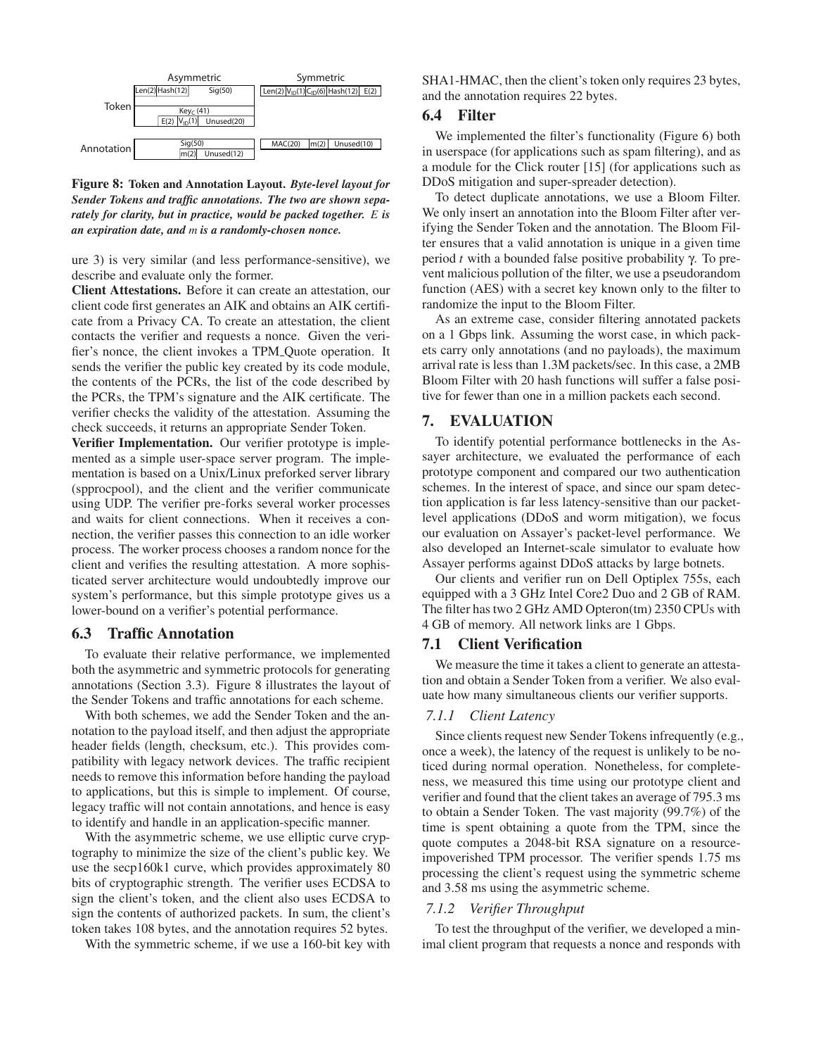

**Figure 8: Token and Annotation Layout.** *Byte-level layout for Sender Tokens and traffic annotations. The two are shown separately for clarity, but in practice, would be packed together. E is an expiration date, and m is a randomly-chosen nonce.*

ure 3) is very similar (and less performance-sensitive), we describe and evaluate only the former.

**Client Attestations.** Before it can create an attestation, our client code first generates an AIK and obtains an AIK certificate from a Privacy CA. To create an attestation, the client contacts the verifier and requests a nonce. Given the verifier's nonce, the client invokes a TPM Quote operation. It sends the verifier the public key created by its code module, the contents of the PCRs, the list of the code described by the PCRs, the TPM's signature and the AIK certificate. The verifier checks the validity of the attestation. Assuming the check succeeds, it returns an appropriate Sender Token.

**Verifier Implementation.** Our verifier prototype is implemented as a simple user-space server program. The implementation is based on a Unix/Linux preforked server library (spprocpool), and the client and the verifier communicate using UDP. The verifier pre-forks several worker processes and waits for client connections. When it receives a connection, the verifier passes this connection to an idle worker process. The worker process chooses a random nonce for the client and verifies the resulting attestation. A more sophisticated server architecture would undoubtedly improve our system's performance, but this simple prototype gives us a lower-bound on a verifier's potential performance.

### **6.3 Traffic Annotation**

To evaluate their relative performance, we implemented both the asymmetric and symmetric protocols for generating annotations (Section 3.3). Figure 8 illustrates the layout of the Sender Tokens and traffic annotations for each scheme.

With both schemes, we add the Sender Token and the annotation to the payload itself, and then adjust the appropriate header fields (length, checksum, etc.). This provides compatibility with legacy network devices. The traffic recipient needs to remove this information before handing the payload to applications, but this is simple to implement. Of course, legacy traffic will not contain annotations, and hence is easy to identify and handle in an application-specific manner.

With the asymmetric scheme, we use elliptic curve cryptography to minimize the size of the client's public key. We use the secp160k1 curve, which provides approximately 80 bits of cryptographic strength. The verifier uses ECDSA to sign the client's token, and the client also uses ECDSA to sign the contents of authorized packets. In sum, the client's token takes 108 bytes, and the annotation requires 52 bytes.

With the symmetric scheme, if we use a 160-bit key with

SHA1-HMAC, then the client's token only requires 23 bytes, and the annotation requires 22 bytes.

## **6.4 Filter**

We implemented the filter's functionality (Figure 6) both in userspace (for applications such as spam filtering), and as a module for the Click router [15] (for applications such as DDoS mitigation and super-spreader detection).

To detect duplicate annotations, we use a Bloom Filter. We only insert an annotation into the Bloom Filter after verifying the Sender Token and the annotation. The Bloom Filter ensures that a valid annotation is unique in a given time period *t* with a bounded false positive probability γ. To prevent malicious pollution of the filter, we use a pseudorandom function (AES) with a secret key known only to the filter to randomize the input to the Bloom Filter.

As an extreme case, consider filtering annotated packets on a 1 Gbps link. Assuming the worst case, in which packets carry only annotations (and no payloads), the maximum arrival rate is less than 1.3M packets/sec. In this case, a 2MB Bloom Filter with 20 hash functions will suffer a false positive for fewer than one in a million packets each second.

# **7. EVALUATION**

To identify potential performance bottlenecks in the Assayer architecture, we evaluated the performance of each prototype component and compared our two authentication schemes. In the interest of space, and since our spam detection application is far less latency-sensitive than our packetlevel applications (DDoS and worm mitigation), we focus our evaluation on Assayer's packet-level performance. We also developed an Internet-scale simulator to evaluate how Assayer performs against DDoS attacks by large botnets.

Our clients and verifier run on Dell Optiplex 755s, each equipped with a 3 GHz Intel Core2 Duo and 2 GB of RAM. The filter has two 2 GHz AMD Opteron(tm) 2350 CPUs with 4 GB of memory. All network links are 1 Gbps.

### **7.1 Client Verification**

We measure the time it takes a client to generate an attestation and obtain a Sender Token from a verifier. We also evaluate how many simultaneous clients our verifier supports.

### *7.1.1 Client Latency*

Since clients request new Sender Tokens infrequently (e.g., once a week), the latency of the request is unlikely to be noticed during normal operation. Nonetheless, for completeness, we measured this time using our prototype client and verifier and found that the client takes an average of 795.3 ms to obtain a Sender Token. The vast majority (99.7%) of the time is spent obtaining a quote from the TPM, since the quote computes a 2048-bit RSA signature on a resourceimpoverished TPM processor. The verifier spends 1.75 ms processing the client's request using the symmetric scheme and 3.58 ms using the asymmetric scheme.

### *7.1.2 Verifier Throughput*

To test the throughput of the verifier, we developed a minimal client program that requests a nonce and responds with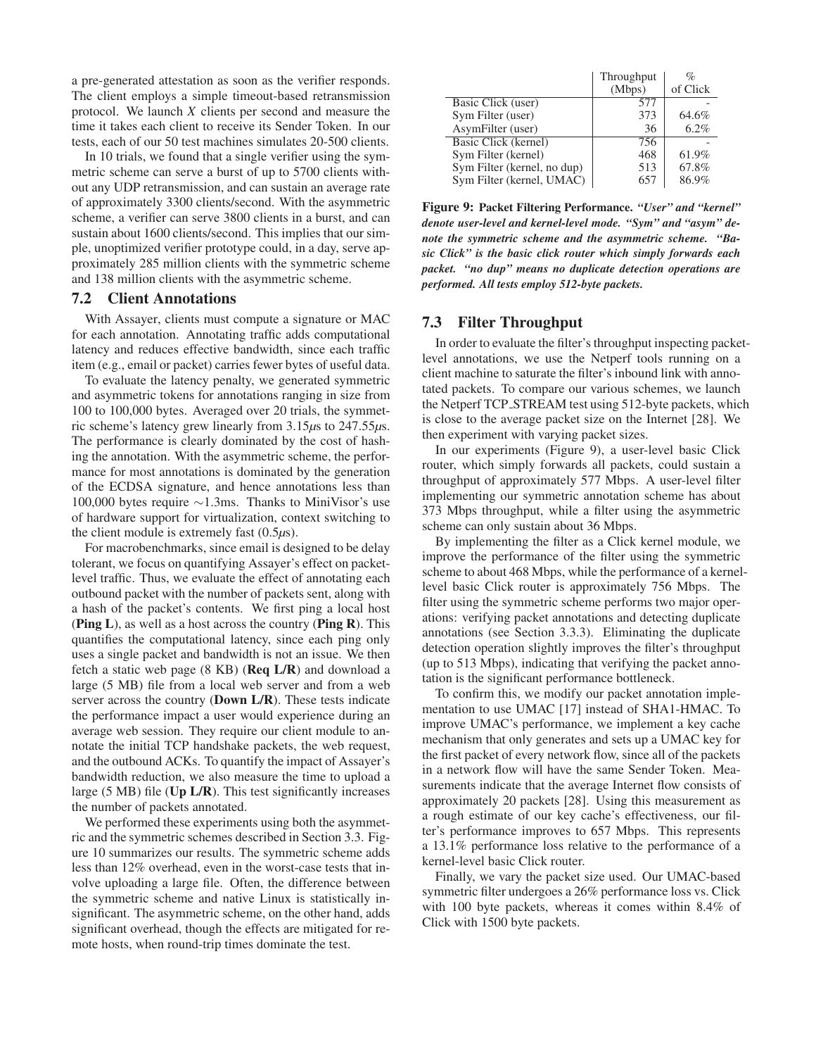a pre-generated attestation as soon as the verifier responds. The client employs a simple timeout-based retransmission protocol. We launch *X* clients per second and measure the time it takes each client to receive its Sender Token. In our tests, each of our 50 test machines simulates 20-500 clients.

In 10 trials, we found that a single verifier using the symmetric scheme can serve a burst of up to 5700 clients without any UDP retransmission, and can sustain an average rate of approximately 3300 clients/second. With the asymmetric scheme, a verifier can serve 3800 clients in a burst, and can sustain about 1600 clients/second. This implies that our simple, unoptimized verifier prototype could, in a day, serve approximately 285 million clients with the symmetric scheme and 138 million clients with the asymmetric scheme.

### **7.2 Client Annotations**

With Assayer, clients must compute a signature or MAC for each annotation. Annotating traffic adds computational latency and reduces effective bandwidth, since each traffic item (e.g., email or packet) carries fewer bytes of useful data.

To evaluate the latency penalty, we generated symmetric and asymmetric tokens for annotations ranging in size from 100 to 100,000 bytes. Averaged over 20 trials, the symmetric scheme's latency grew linearly from 3.15*µ*s to 247.55*µ*s. The performance is clearly dominated by the cost of hashing the annotation. With the asymmetric scheme, the performance for most annotations is dominated by the generation of the ECDSA signature, and hence annotations less than 100,000 bytes require ∼1.3ms. Thanks to MiniVisor's use of hardware support for virtualization, context switching to the client module is extremely fast (0.5*µ*s).

For macrobenchmarks, since email is designed to be delay tolerant, we focus on quantifying Assayer's effect on packetlevel traffic. Thus, we evaluate the effect of annotating each outbound packet with the number of packets sent, along with a hash of the packet's contents. We first ping a local host (**Ping L**), as well as a host across the country (**Ping R**). This quantifies the computational latency, since each ping only uses a single packet and bandwidth is not an issue. We then fetch a static web page (8 KB) (**Req L/R**) and download a large (5 MB) file from a local web server and from a web server across the country (**Down L/R**). These tests indicate the performance impact a user would experience during an average web session. They require our client module to annotate the initial TCP handshake packets, the web request, and the outbound ACKs. To quantify the impact of Assayer's bandwidth reduction, we also measure the time to upload a large (5 MB) file (**Up L/R**). This test significantly increases the number of packets annotated.

We performed these experiments using both the asymmetric and the symmetric schemes described in Section 3.3. Figure 10 summarizes our results. The symmetric scheme adds less than 12% overhead, even in the worst-case tests that involve uploading a large file. Often, the difference between the symmetric scheme and native Linux is statistically insignificant. The asymmetric scheme, on the other hand, adds significant overhead, though the effects are mitigated for remote hosts, when round-trip times dominate the test.

|                             | Throughput | $\%$     |
|-----------------------------|------------|----------|
|                             | (Mbps)     | of Click |
| Basic Click (user)          | 577        |          |
| Sym Filter (user)           | 373        | 64.6%    |
| AsymFilter (user)           | 36         | 6.2%     |
| Basic Click (kernel)        | 756        |          |
| Sym Filter (kernel)         | 468        | 61.9%    |
| Sym Filter (kernel, no dup) | 513        | 67.8%    |
| Sym Filter (kernel, UMAC)   | 657        | 86.9%    |

**Figure 9: Packet Filtering Performance.** *"User" and "kernel" denote user-level and kernel-level mode. "Sym" and "asym" denote the symmetric scheme and the asymmetric scheme. "Basic Click" is the basic click router which simply forwards each packet. "no dup" means no duplicate detection operations are performed. All tests employ 512-byte packets.*

### **7.3 Filter Throughput**

In order to evaluate the filter's throughput inspecting packetlevel annotations, we use the Netperf tools running on a client machine to saturate the filter's inbound link with annotated packets. To compare our various schemes, we launch the Netperf TCP STREAM test using 512-byte packets, which is close to the average packet size on the Internet [28]. We then experiment with varying packet sizes.

In our experiments (Figure 9), a user-level basic Click router, which simply forwards all packets, could sustain a throughput of approximately 577 Mbps. A user-level filter implementing our symmetric annotation scheme has about 373 Mbps throughput, while a filter using the asymmetric scheme can only sustain about 36 Mbps.

By implementing the filter as a Click kernel module, we improve the performance of the filter using the symmetric scheme to about 468 Mbps, while the performance of a kernellevel basic Click router is approximately 756 Mbps. The filter using the symmetric scheme performs two major operations: verifying packet annotations and detecting duplicate annotations (see Section 3.3.3). Eliminating the duplicate detection operation slightly improves the filter's throughput (up to 513 Mbps), indicating that verifying the packet annotation is the significant performance bottleneck.

To confirm this, we modify our packet annotation implementation to use UMAC [17] instead of SHA1-HMAC. To improve UMAC's performance, we implement a key cache mechanism that only generates and sets up a UMAC key for the first packet of every network flow, since all of the packets in a network flow will have the same Sender Token. Measurements indicate that the average Internet flow consists of approximately 20 packets [28]. Using this measurement as a rough estimate of our key cache's effectiveness, our filter's performance improves to 657 Mbps. This represents a 13.1% performance loss relative to the performance of a kernel-level basic Click router.

Finally, we vary the packet size used. Our UMAC-based symmetric filter undergoes a 26% performance loss vs. Click with 100 byte packets, whereas it comes within 8.4% of Click with 1500 byte packets.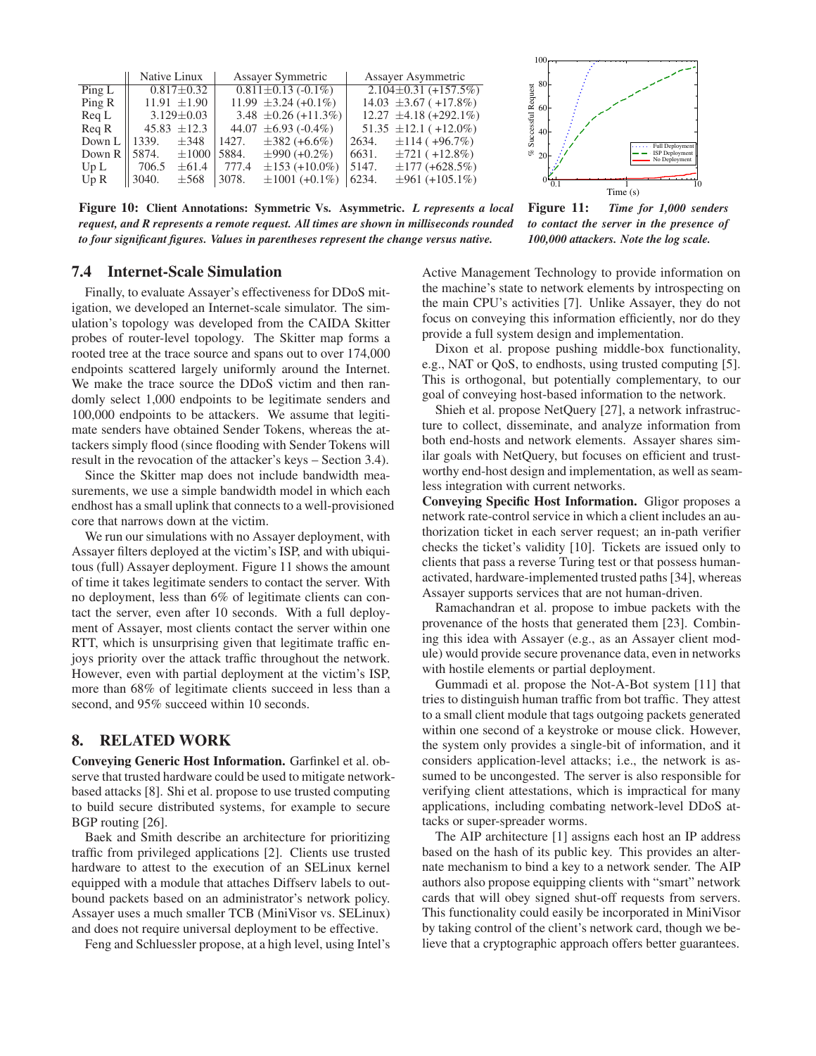|                          | Native Linux |                    |       | Assayer Symmetric         |       | Assayer Asymmetric           |                                                                                                  |                                   |
|--------------------------|--------------|--------------------|-------|---------------------------|-------|------------------------------|--------------------------------------------------------------------------------------------------|-----------------------------------|
| Ping L                   |              | $0.817 \pm 0.32$   |       | $0.811 \pm 0.13$ (-0.1%)  |       | $2.104 \pm 0.31 (+157.5\%)$  | $\begin{array}{c}\n\text{Regues} \\ \begin{array}{c}\n80 \\ \text{eq}\n\end{array}\n\end{array}$ |                                   |
| $\lim g R$               |              | $11.91 \pm 1.90$   |       | $11.99 \pm 3.24 (+0.1\%)$ |       | $14.03 \pm 3.67 (+17.8\%)$   |                                                                                                  |                                   |
| $\text{Req} L$           |              | $3.129 \pm 0.03$   |       | $3.48 \pm 0.26 (+11.3\%)$ |       | $12.27 \pm 4.18 \pm 292.1\%$ | ξĒ                                                                                               |                                   |
| Reg R                    |              | $45.83 \pm 12.3$   |       | 44.07 $\pm$ 6.93 (-0.4%)  |       | $51.35 \pm 12.1 (+12.0\%)$   | 8്40 ⊨                                                                                           |                                   |
| Down L                   | 1339.        | $\pm$ 348          | 1427. | $\pm 382 (+6.6\%)$        | 2634. | $\pm 114$ ( $+96.7\%$ )      | ã                                                                                                | Full Deployment<br>.              |
| Down R $\parallel$ 5874. |              | $\pm 1000$   5884. |       | $\pm 990 (+0.2\%)$        | 6631. | $\pm 721 (+12.8\%)$          | $\approx 20$                                                                                     | ISP Deployment<br>- No Deployment |
| Up L                     | 706.5        | $\pm 61.4$         | 777.4 | $\pm 153 (+10.0\%)$       | 5147. | $\pm 177 (+628.5\%)$         |                                                                                                  |                                   |
| Up R                     | 3040.        | $\pm$ 568          | 3078. | $\pm 1001 (+0.1\%)$       | 6234. | $\pm 961 (+105.1\%)$         |                                                                                                  |                                   |

100 80 % Successful Request % Successful Request 60 40 Full Dep ISP Depl 20 No Deployment 0 Time (s)

**Figure 10: Client Annotations: Symmetric Vs. Asymmetric.** *L represents a local request, and R represents a remote request. All times are shown in milliseconds rounded to four significant figures. Values in parentheses represent the change versus native.*

**Figure 11:** *Time for 1,000 senders to contact the server in the presence of 100,000 attackers. Note the log scale.*

# **7.4 Internet-Scale Simulation**

Finally, to evaluate Assayer's effectiveness for DDoS mitigation, we developed an Internet-scale simulator. The simulation's topology was developed from the CAIDA Skitter probes of router-level topology. The Skitter map forms a rooted tree at the trace source and spans out to over 174,000 endpoints scattered largely uniformly around the Internet. We make the trace source the DDoS victim and then randomly select 1,000 endpoints to be legitimate senders and 100,000 endpoints to be attackers. We assume that legitimate senders have obtained Sender Tokens, whereas the attackers simply flood (since flooding with Sender Tokens will result in the revocation of the attacker's keys – Section 3.4).

Since the Skitter map does not include bandwidth measurements, we use a simple bandwidth model in which each endhost has a small uplink that connects to a well-provisioned core that narrows down at the victim.

We run our simulations with no Assayer deployment, with Assayer filters deployed at the victim's ISP, and with ubiquitous (full) Assayer deployment. Figure 11 shows the amount of time it takes legitimate senders to contact the server. With no deployment, less than 6% of legitimate clients can contact the server, even after 10 seconds. With a full deployment of Assayer, most clients contact the server within one RTT, which is unsurprising given that legitimate traffic enjoys priority over the attack traffic throughout the network. However, even with partial deployment at the victim's ISP, more than 68% of legitimate clients succeed in less than a second, and 95% succeed within 10 seconds.

# **8. RELATED WORK**

**Conveying Generic Host Information.** Garfinkel et al. observe that trusted hardware could be used to mitigate networkbased attacks [8]. Shi et al. propose to use trusted computing to build secure distributed systems, for example to secure BGP routing [26].

Baek and Smith describe an architecture for prioritizing traffic from privileged applications [2]. Clients use trusted hardware to attest to the execution of an SELinux kernel equipped with a module that attaches Diffserv labels to outbound packets based on an administrator's network policy. Assayer uses a much smaller TCB (MiniVisor vs. SELinux) and does not require universal deployment to be effective.

Feng and Schluessler propose, at a high level, using Intel's

Active Management Technology to provide information on the machine's state to network elements by introspecting on the main CPU's activities [7]. Unlike Assayer, they do not focus on conveying this information efficiently, nor do they provide a full system design and implementation.

Dixon et al. propose pushing middle-box functionality, e.g., NAT or QoS, to endhosts, using trusted computing [5]. This is orthogonal, but potentially complementary, to our goal of conveying host-based information to the network.

Shieh et al. propose NetQuery [27], a network infrastructure to collect, disseminate, and analyze information from both end-hosts and network elements. Assayer shares similar goals with NetQuery, but focuses on efficient and trustworthy end-host design and implementation, as well as seamless integration with current networks.

**Conveying Specific Host Information.** Gligor proposes a network rate-control service in which a client includes an authorization ticket in each server request; an in-path verifier checks the ticket's validity [10]. Tickets are issued only to clients that pass a reverse Turing test or that possess humanactivated, hardware-implemented trusted paths [34], whereas Assayer supports services that are not human-driven.

Ramachandran et al. propose to imbue packets with the provenance of the hosts that generated them [23]. Combining this idea with Assayer (e.g., as an Assayer client module) would provide secure provenance data, even in networks with hostile elements or partial deployment.

Gummadi et al. propose the Not-A-Bot system [11] that tries to distinguish human traffic from bot traffic. They attest to a small client module that tags outgoing packets generated within one second of a keystroke or mouse click. However, the system only provides a single-bit of information, and it considers application-level attacks; i.e., the network is assumed to be uncongested. The server is also responsible for verifying client attestations, which is impractical for many applications, including combating network-level DDoS attacks or super-spreader worms.

The AIP architecture [1] assigns each host an IP address based on the hash of its public key. This provides an alternate mechanism to bind a key to a network sender. The AIP authors also propose equipping clients with "smart" network cards that will obey signed shut-off requests from servers. This functionality could easily be incorporated in MiniVisor by taking control of the client's network card, though we believe that a cryptographic approach offers better guarantees.